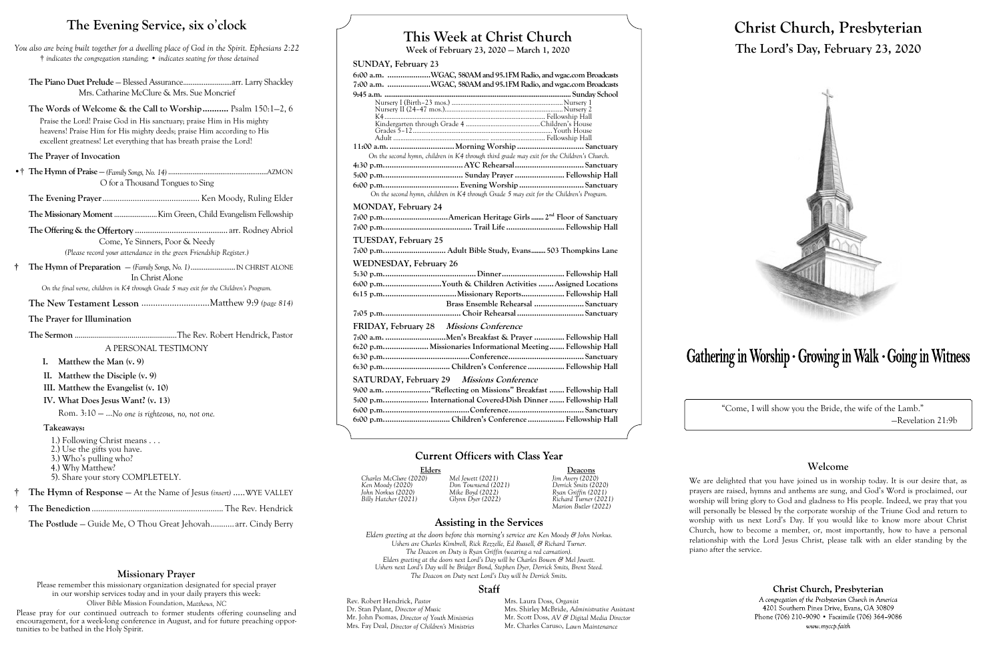# **This Week at Christ Church**

**Week of February 23, 2020 — March 1, 2020**

### **SUNDAY, February 23**

| 6:00 a.m. WGAC, 580AM and 95.1FM Radio, and wgac.com Broadcasts                            |  |  |  |
|--------------------------------------------------------------------------------------------|--|--|--|
| 7:00 a.m. WGAC, 580AM and 95.1FM Radio, and wgac.com Broadcasts                            |  |  |  |
|                                                                                            |  |  |  |
|                                                                                            |  |  |  |
|                                                                                            |  |  |  |
|                                                                                            |  |  |  |
|                                                                                            |  |  |  |
| 11:00 a.m. Morning Worship  Sanctuary                                                      |  |  |  |
| On the second hymn, children in K4 through third grade may exit for the Children's Church. |  |  |  |
|                                                                                            |  |  |  |
|                                                                                            |  |  |  |
|                                                                                            |  |  |  |
| On the second hymn, children in K4 through Grade 5 may exit for the Children's Program.    |  |  |  |
| MONDAY, February 24                                                                        |  |  |  |
| 7:00 p.mAmerican Heritage Girls  2 <sup>nd</sup> Floor of Sanctuary                        |  |  |  |
|                                                                                            |  |  |  |
| TUESDAY, February 25                                                                       |  |  |  |
| 7:00 p.m Adult Bible Study, Evans 503 Thompkins Lane                                       |  |  |  |
| WEDNESDAY, February 26                                                                     |  |  |  |
|                                                                                            |  |  |  |
| 6:00 p.mYouth & Children Activities Assigned Locations                                     |  |  |  |
|                                                                                            |  |  |  |
| Brass Ensemble Rehearsal  Sanctuary                                                        |  |  |  |
|                                                                                            |  |  |  |
| FRIDAY, February 28 Missions Conference                                                    |  |  |  |
| 7:00 a.m. Men's Breakfast & Prayer  Fellowship Hall                                        |  |  |  |
| 6:20 p.m Missionaries Informational Meeting Fellowship Hall                                |  |  |  |
|                                                                                            |  |  |  |
| 6:30 p.mChildren's Conference  Fellowship Hall                                             |  |  |  |
| SATURDAY, February 29 Missions Conference                                                  |  |  |  |
|                                                                                            |  |  |  |
| 5:00 p.m International Covered-Dish Dinner  Fellowship Hall                                |  |  |  |
|                                                                                            |  |  |  |
|                                                                                            |  |  |  |
|                                                                                            |  |  |  |

## **Current Officers with Class Year**

Elders **Deacons**<br>
20) Mel Jewett (2021) Jim Avery (2020) *John Norkus (2020) Mike Boyd (2022) Ryan Griffin (2021) Billy Hatcher (2021) Glynn Dyer (2022) Richard Turner (2021) Marion Butler (2022)*

### **Assisting in the Services**

Dr. Stan Pylant, *Director of Music* Mrs. Shirley McBride, *Administrative Assistant* Mr. Scott Doss, *AV & Digital Media Director* 

Rev. Robert Hendrick, *Pastor* Mrs. Laura Doss, *Organist* Dr. Stan Pylant, *Director of Music* Mrs. Shirley McBride, *Adr* Mrs. Fay Deal, *Director of Children's Ministries* Mr. Charles Caruso, *Lawn Maintenance*

*Charles McClure (2020) Mel Jewett (2021) Jim Avery (2020) Ken Moody (2020) Don Townsend (2021) Derrick Smits (2020)*

*Elders greeting at the doors before this morning's service are Ken Moody & John Norkus. Ushers are Charles Kimbrell, Rick Rezzelle, Ed Russell, & Richard Turner. The Deacon on Duty is Ryan Griffin (wearing a red carnation). Elders greeting at the doors next Lord's Day will be Charles Bowen & Mel Jewett. Ushers next Lord's Day will be Bridger Bond, Stephen Dyer, Derrick Smits, Brent Steed. The Deacon on Duty next Lord's Day will be Derrick Smits.*

### **Staff**

# **Christ Church, Presbyterian The Lord's Day, February 23, 2020**



# Gathering in Worship · Growing in Walk · Going in Witness

"Come, I will show you the Bride, the wife of the Lamb." —Revelation 21:9b

### **Welcome**

We are delighted that you have joined us in worship today. It is our desire that, as prayers are raised, hymns and anthems are sung, and God's Word is proclaimed, our worship will bring glory to God and gladness to His people. Indeed, we pray that you will personally be blessed by the corporate worship of the Triune God and return to worship with us next Lord's Day. If you would like to know more about Christ Church, how to become a member, or, most importantly, how to have a personal relationship with the Lord Jesus Christ, please talk with an elder standing by the piano after the service.

Christ Church, Presbyterian

A congregation of the Presbyterian Church in America 4201 Southern Pines Drive, Evans, GA 30809 Phone (706) 210-9090 • Facsimile (706) 364-9086 www.myccp.faith

# **The Evening Service, six o**'**clock**

|                                                                                          | You also are being built together for a dwelling place of God in the Spirit. Ephesians 2:22 |
|------------------------------------------------------------------------------------------|---------------------------------------------------------------------------------------------|
| <sup>†</sup> indicates the congregation standing; • indicates seating for those detained |                                                                                             |

**The Piano Duet Prelude** — Blessed Assurance..........................arr. Larry Shackley Mrs. Catharine McClure & Mrs. Sue Moncrief

**The Words of Welcome & the Call to Worship...........** Psalm 150:1—2, 6

Praise the Lord! Praise God in His sanctuary; praise Him in His mighty heavens! Praise Him for His mighty deeds; praise Him according to His excellent greatness! Let everything that has breath praise the Lord!

### **The Prayer of Invocation**

•† **The Hymn of Praise** — *(Family Songs, No. 14)* .....................................................AZMON O for a Thousand Tongues to Sing

**The Evening Prayer**............................................. Ken Moody, Ruling Elder

**The Missionary Moment**.......................Kim Green, Child Evangelism Fellowship

**The Offering & the Offertory** ........................................... arr. Rodney Abriol Come, Ye Sinners, Poor & Needy

*(Please record your attendance in the green Friendship Register.)*

**† The Hymn of Preparation** — *(Family Songs, No. 1)*........................IN CHRIST ALONE In Christ Alone

*On the final verse, children in K4 through Grade 5 may exit for the Children's Program.*

**The New Testament Lesson** .............................Matthew 9:9 *(page 814)*

**The Prayer for Illumination**

**The Sermon** ....................................................The Rev. Robert Hendrick, Pastor

A PERSONAL TESTIMONY

- **I. Matthew the Man (v. 9)**
- **II. Matthew the Disciple (v. 9)**
- **III. Matthew the Evangelist (v. 10)**
- **IV. What Does Jesus Want? (v. 13)**

Rom. 3:10 — ...*No one is righteous, no, not one.*

### **Takeaways:**

- 1.) Following Christ means . . .
- 2.) Use the gifts you have.
- 3.) Who's pulling who?
- 4.) Why Matthew?

5). Share your story COMPLETELY.

† **The Hymn of Response** — At the Name of Jesus *(insert)* .....WYE VALLEY

† **The Benediction**............................................................. The Rev. Hendrick

**The Postlude** — Guide Me, O Thou Great Jehovah........... arr. Cindy Berry

### **Missionary Prayer**

Please remember this missionary organization designated for special prayer in our worship services today and in your daily prayers this week: Oliver Bible Mission Foundation, *Matthews, NC*

Please pray for our continued outreach to former students offering counseling and encouragement, for a week-long conference in August, and for future preaching opportunities to be bathed in the Holy Spirit.